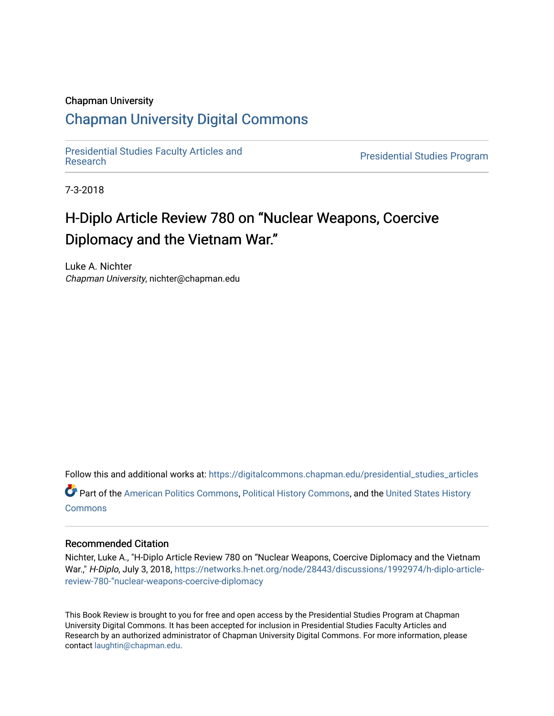#### Chapman University

## [Chapman University Digital Commons](https://digitalcommons.chapman.edu/)

[Presidential Studies Faculty Articles and](https://digitalcommons.chapman.edu/presidential_studies_articles) 

**Presidential Studies Program** 

7-3-2018

# H-Diplo Article Review 780 on "Nuclear Weapons, Coercive Diplomacy and the Vietnam War."

Luke A. Nichter Chapman University, nichter@chapman.edu

Follow this and additional works at: [https://digitalcommons.chapman.edu/presidential\\_studies\\_articles](https://digitalcommons.chapman.edu/presidential_studies_articles?utm_source=digitalcommons.chapman.edu%2Fpresidential_studies_articles%2F14&utm_medium=PDF&utm_campaign=PDFCoverPages)  Part of the [American Politics Commons,](http://network.bepress.com/hgg/discipline/387?utm_source=digitalcommons.chapman.edu%2Fpresidential_studies_articles%2F14&utm_medium=PDF&utm_campaign=PDFCoverPages) [Political History Commons,](http://network.bepress.com/hgg/discipline/505?utm_source=digitalcommons.chapman.edu%2Fpresidential_studies_articles%2F14&utm_medium=PDF&utm_campaign=PDFCoverPages) and the [United States History](http://network.bepress.com/hgg/discipline/495?utm_source=digitalcommons.chapman.edu%2Fpresidential_studies_articles%2F14&utm_medium=PDF&utm_campaign=PDFCoverPages)

**[Commons](http://network.bepress.com/hgg/discipline/495?utm_source=digitalcommons.chapman.edu%2Fpresidential_studies_articles%2F14&utm_medium=PDF&utm_campaign=PDFCoverPages)** 

## Recommended Citation

Nichter, Luke A., "H-Diplo Article Review 780 on "Nuclear Weapons, Coercive Diplomacy and the Vietnam War.," H-Diplo, July 3, 2018, [https://networks.h-net.org/node/28443/discussions/1992974/h-diplo-article](https://networks.h-net.org/node/28443/discussions/1992974/h-diplo-article-review-780-%E2%80%9Cnuclear-weapons-coercive-diplomacy)[review-780-"nuclear-weapons-coercive-diplomacy](https://networks.h-net.org/node/28443/discussions/1992974/h-diplo-article-review-780-%E2%80%9Cnuclear-weapons-coercive-diplomacy) 

This Book Review is brought to you for free and open access by the Presidential Studies Program at Chapman University Digital Commons. It has been accepted for inclusion in Presidential Studies Faculty Articles and Research by an authorized administrator of Chapman University Digital Commons. For more information, please contact [laughtin@chapman.edu](mailto:laughtin@chapman.edu).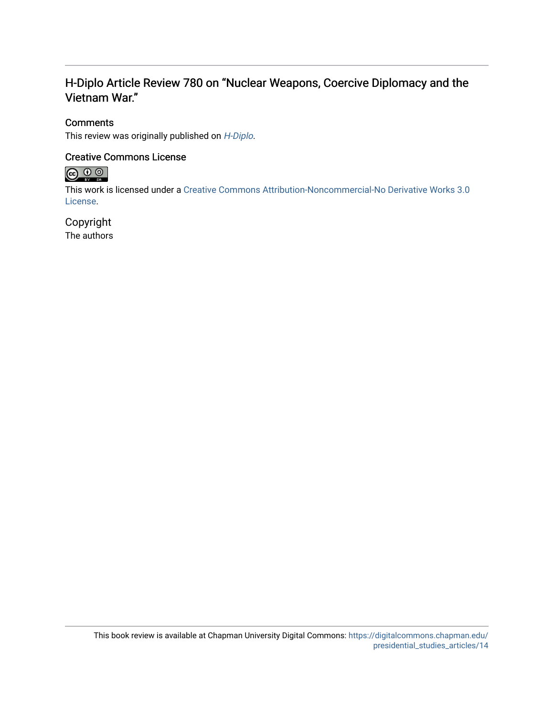## H-Diplo Article Review 780 on "Nuclear Weapons, Coercive Diplomacy and the Vietnam War."

## **Comments**

This review was originally published on [H-Diplo](https://networks.h-net.org/node/28443/discussions/1992974/h-diplo-article-review-780-%E2%80%9Cnuclear-weapons-coercive-diplomacy).

## Creative Commons License



This work is licensed under a [Creative Commons Attribution-Noncommercial-No Derivative Works 3.0](https://creativecommons.org/licenses/by-nc-nd/3.0/) [License](https://creativecommons.org/licenses/by-nc-nd/3.0/).

## Copyright

The authors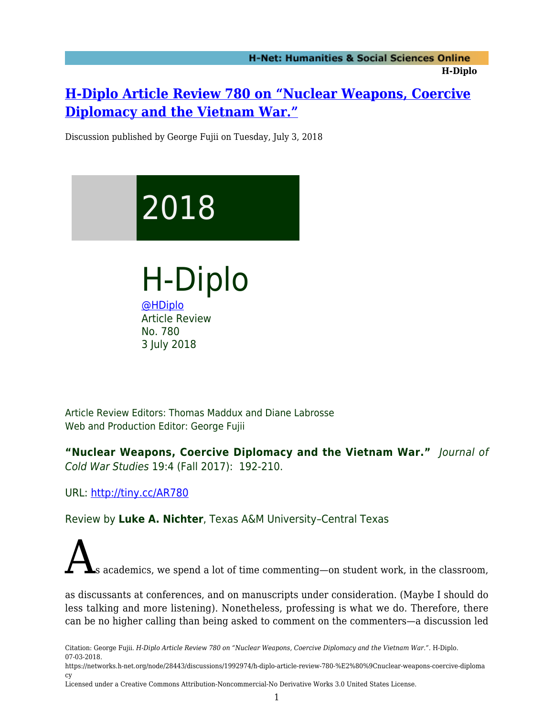# **[H-Diplo Article Review 780 on "Nuclear Weapons, Coercive](https://networks.h-net.org/node/28443/discussions/1992974/h-diplo-article-review-780-%E2%80%9Cnuclear-weapons-coercive-diplomacy) [Diplomacy and the Vietnam War."](https://networks.h-net.org/node/28443/discussions/1992974/h-diplo-article-review-780-%E2%80%9Cnuclear-weapons-coercive-diplomacy)**

Discussion published by George Fujii on Tuesday, July 3, 2018

# 2018

H-Diplo [@HDiplo](https://www.twitter.com/HDiplo) Article Review No. 780 3 July 2018

Article Review Editors: Thomas Maddux and Diane Labrosse Web and Production Editor: George Fujii

**"Nuclear Weapons, Coercive Diplomacy and the Vietnam War."** Journal of Cold War Studies 19:4 (Fall 2017): 192-210.

URL:<http://tiny.cc/AR780>

Review by **Luke A. Nichter**, Texas A&M University–Central Texas

s academics, we spend a lot of time commenting—on student work, in the classroom,

as discussants at conferences, and on manuscripts under consideration. (Maybe I should do less talking and more listening). Nonetheless, professing is what we do. Therefore, there can be no higher calling than being asked to comment on the commenters—a discussion led

Citation: George Fujii. *H-Diplo Article Review 780 on "Nuclear Weapons, Coercive Diplomacy and the Vietnam War."*. H-Diplo. 07-03-2018.

https://networks.h-net.org/node/28443/discussions/1992974/h-diplo-article-review-780-%E2%80%9Cnuclear-weapons-coercive-diploma cy

Licensed under a Creative Commons Attribution-Noncommercial-No Derivative Works 3.0 United States License.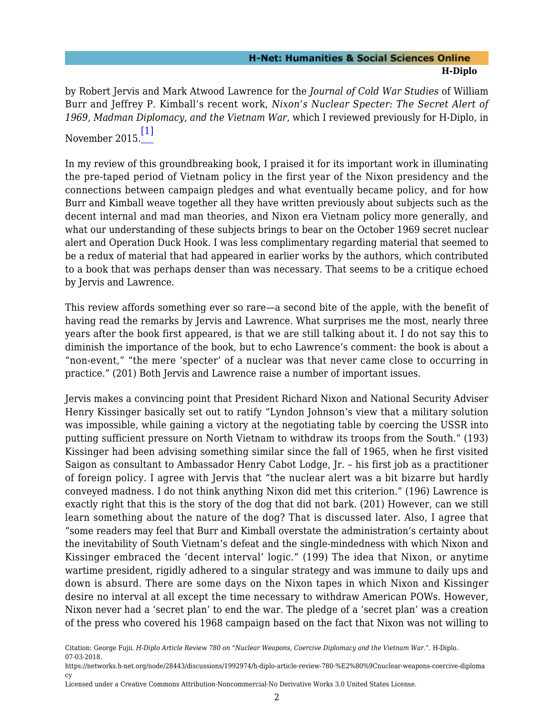by Robert Jervis and Mark Atwood Lawrence for the *Journal of Cold War Studies* of William Burr and Jeffrey P. Kimball's recent work, *Nixon's Nuclear Specter: The Secret Alert of 1969, Madman Diplomacy, and the Vietnam War*, which I reviewed previously for H-Diplo, in November 2015. [\[1\]](#page-7-0)

<span id="page-3-0"></span>In my review of this groundbreaking book, I praised it for its important work in illuminating the pre-taped period of Vietnam policy in the first year of the Nixon presidency and the connections between campaign pledges and what eventually became policy, and for how Burr and Kimball weave together all they have written previously about subjects such as the decent internal and mad man theories, and Nixon era Vietnam policy more generally, and what our understanding of these subjects brings to bear on the October 1969 secret nuclear alert and Operation Duck Hook. I was less complimentary regarding material that seemed to be a redux of material that had appeared in earlier works by the authors, which contributed to a book that was perhaps denser than was necessary. That seems to be a critique echoed by Jervis and Lawrence.

This review affords something ever so rare—a second bite of the apple, with the benefit of having read the remarks by Jervis and Lawrence. What surprises me the most, nearly three years after the book first appeared, is that we are still talking about it. I do not say this to diminish the importance of the book, but to echo Lawrence's comment: the book is about a "non-event," "the mere 'specter' of a nuclear was that never came close to occurring in practice." (201) Both Jervis and Lawrence raise a number of important issues.

Jervis makes a convincing point that President Richard Nixon and National Security Adviser Henry Kissinger basically set out to ratify "Lyndon Johnson's view that a military solution was impossible, while gaining a victory at the negotiating table by coercing the USSR into putting sufficient pressure on North Vietnam to withdraw its troops from the South." (193) Kissinger had been advising something similar since the fall of 1965, when he first visited Saigon as consultant to Ambassador Henry Cabot Lodge, Jr. – his first job as a practitioner of foreign policy. I agree with Jervis that "the nuclear alert was a bit bizarre but hardly conveyed madness. I do not think anything Nixon did met this criterion." (196) Lawrence is exactly right that this is the story of the dog that did not bark. (201) However, can we still learn something about the nature of the dog? That is discussed later. Also, I agree that "some readers may feel that Burr and Kimball overstate the administration's certainty about the inevitability of South Vietnam's defeat and the single-mindedness with which Nixon and Kissinger embraced the 'decent interval' logic." (199) The idea that Nixon, or anytime wartime president, rigidly adhered to a singular strategy and was immune to daily ups and down is absurd. There are some days on the Nixon tapes in which Nixon and Kissinger desire no interval at all except the time necessary to withdraw American POWs. However, Nixon never had a 'secret plan' to end the war. The pledge of a 'secret plan' was a creation of the press who covered his 1968 campaign based on the fact that Nixon was not willing to

https://networks.h-net.org/node/28443/discussions/1992974/h-diplo-article-review-780-%E2%80%9Cnuclear-weapons-coercive-diploma cy

Citation: George Fujii. *H-Diplo Article Review 780 on "Nuclear Weapons, Coercive Diplomacy and the Vietnam War."*. H-Diplo. 07-03-2018.

Licensed under a Creative Commons Attribution-Noncommercial-No Derivative Works 3.0 United States License.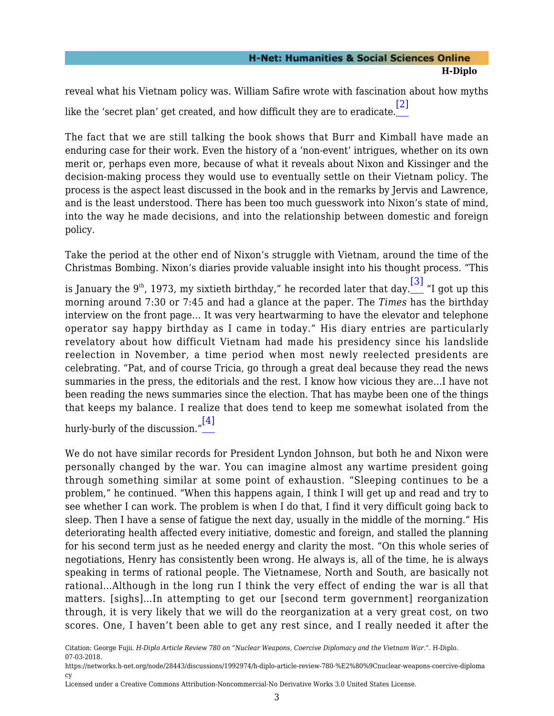<span id="page-4-0"></span>reveal what his Vietnam policy was. William Safire wrote with fascination about how myths like the 'secret plan' get created, and how difficult they are to eradicate. [\[2\]](#page-7-1)

The fact that we are still talking the book shows that Burr and Kimball have made an enduring case for their work. Even the history of a 'non-event' intrigues, whether on its own merit or, perhaps even more, because of what it reveals about Nixon and Kissinger and the decision-making process they would use to eventually settle on their Vietnam policy. The process is the aspect least discussed in the book and in the remarks by Jervis and Lawrence, and is the least understood. There has been too much guesswork into Nixon's state of mind, into the way he made decisions, and into the relationship between domestic and foreign policy.

Take the period at the other end of Nixon's struggle with Vietnam, around the time of the Christmas Bombing. Nixon's diaries provide valuable insight into his thought process. "This

<span id="page-4-1"></span>is January the 9th, 1973, my sixtieth birthday," he recorded later that day. $\overline{\phantom{a}^{[3]}}$  $\overline{\phantom{a}^{[3]}}$  $\overline{\phantom{a}^{[3]}}$  "I got up this morning around 7:30 or 7:45 and had a glance at the paper. The *Times* has the birthday interview on the front page… It was very heartwarming to have the elevator and telephone operator say happy birthday as I came in today." His diary entries are particularly revelatory about how difficult Vietnam had made his presidency since his landslide reelection in November, a time period when most newly reelected presidents are celebrating. "Pat, and of course Tricia, go through a great deal because they read the news summaries in the press, the editorials and the rest. I know how vicious they are…I have not been reading the news summaries since the election. That has maybe been one of the things that keeps my balance. I realize that does tend to keep me somewhat isolated from the

<span id="page-4-2"></span>hurly-burly of the discussion." [\[4\]](#page-7-3)

We do not have similar records for President Lyndon Johnson, but both he and Nixon were personally changed by the war. You can imagine almost any wartime president going through something similar at some point of exhaustion. "Sleeping continues to be a problem," he continued. "When this happens again, I think I will get up and read and try to see whether I can work. The problem is when I do that, I find it very difficult going back to sleep. Then I have a sense of fatigue the next day, usually in the middle of the morning." His deteriorating health affected every initiative, domestic and foreign, and stalled the planning for his second term just as he needed energy and clarity the most. "On this whole series of negotiations, Henry has consistently been wrong. He always is, all of the time, he is always speaking in terms of rational people. The Vietnamese, North and South, are basically not rational…Although in the long run I think the very effect of ending the war is all that matters. [sighs]…In attempting to get our [second term government] reorganization through, it is very likely that we will do the reorganization at a very great cost, on two scores. One, I haven't been able to get any rest since, and I really needed it after the

https://networks.h-net.org/node/28443/discussions/1992974/h-diplo-article-review-780-%E2%80%9Cnuclear-weapons-coercive-diploma cy

Citation: George Fujii. *H-Diplo Article Review 780 on "Nuclear Weapons, Coercive Diplomacy and the Vietnam War."*. H-Diplo. 07-03-2018.

Licensed under a Creative Commons Attribution-Noncommercial-No Derivative Works 3.0 United States License.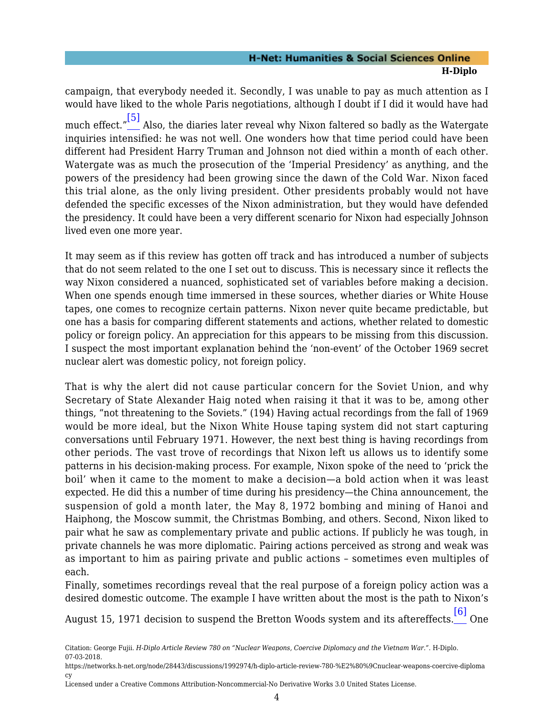<span id="page-5-0"></span>campaign, that everybody needed it. Secondly, I was unable to pay as much attention as I would have liked to the whole Paris negotiations, although I doubt if I did it would have had much effect." [\[5\]](#page-7-4) Also, the diaries later reveal why Nixon faltered so badly as the Watergate inquiries intensified: he was not well. One wonders how that time period could have been different had President Harry Truman and Johnson not died within a month of each other. Watergate was as much the prosecution of the 'Imperial Presidency' as anything, and the powers of the presidency had been growing since the dawn of the Cold War. Nixon faced this trial alone, as the only living president. Other presidents probably would not have defended the specific excesses of the Nixon administration, but they would have defended the presidency. It could have been a very different scenario for Nixon had especially Johnson lived even one more year.

It may seem as if this review has gotten off track and has introduced a number of subjects that do not seem related to the one I set out to discuss. This is necessary since it reflects the way Nixon considered a nuanced, sophisticated set of variables before making a decision. When one spends enough time immersed in these sources, whether diaries or White House tapes, one comes to recognize certain patterns. Nixon never quite became predictable, but one has a basis for comparing different statements and actions, whether related to domestic policy or foreign policy. An appreciation for this appears to be missing from this discussion. I suspect the most important explanation behind the 'non-event' of the October 1969 secret nuclear alert was domestic policy, not foreign policy.

That is why the alert did not cause particular concern for the Soviet Union, and why Secretary of State Alexander Haig noted when raising it that it was to be, among other things, "not threatening to the Soviets." (194) Having actual recordings from the fall of 1969 would be more ideal, but the Nixon White House taping system did not start capturing conversations until February 1971. However, the next best thing is having recordings from other periods. The vast trove of recordings that Nixon left us allows us to identify some patterns in his decision-making process. For example, Nixon spoke of the need to 'prick the boil' when it came to the moment to make a decision—a bold action when it was least expected. He did this a number of time during his presidency—the China announcement, the suspension of gold a month later, the May 8, 1972 bombing and mining of Hanoi and Haiphong, the Moscow summit, the Christmas Bombing, and others. Second, Nixon liked to pair what he saw as complementary private and public actions. If publicly he was tough, in private channels he was more diplomatic. Pairing actions perceived as strong and weak was as important to him as pairing private and public actions – sometimes even multiples of each.

Finally, sometimes recordings reveal that the real purpose of a foreign policy action was a desired domestic outcome. The example I have written about the most is the path to Nixon's

<span id="page-5-1"></span>August 15, 1971 decision to suspend the Bretton Woods system and its aftereffects. [\[6\]](#page-7-5) One

- https://networks.h-net.org/node/28443/discussions/1992974/h-diplo-article-review-780-%E2%80%9Cnuclear-weapons-coercive-diploma cy
- Licensed under a Creative Commons Attribution-Noncommercial-No Derivative Works 3.0 United States License.

Citation: George Fujii. *H-Diplo Article Review 780 on "Nuclear Weapons, Coercive Diplomacy and the Vietnam War."*. H-Diplo. 07-03-2018.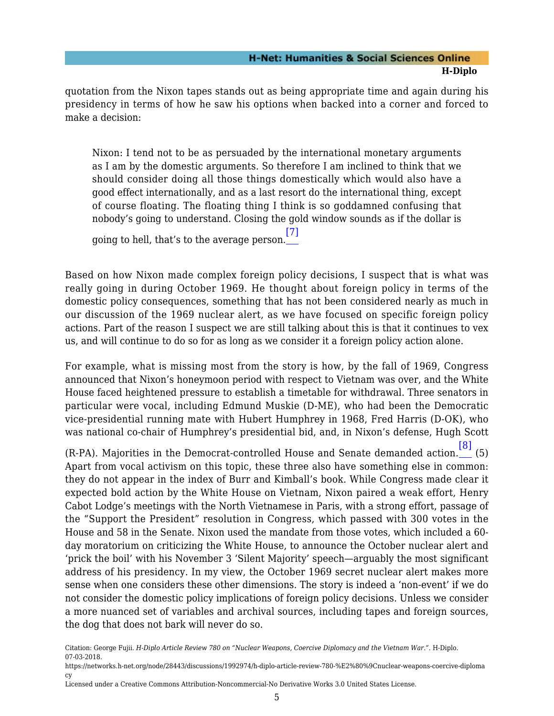quotation from the Nixon tapes stands out as being appropriate time and again during his presidency in terms of how he saw his options when backed into a corner and forced to make a decision:

Nixon: I tend not to be as persuaded by the international monetary arguments as I am by the domestic arguments. So therefore I am inclined to think that we should consider doing all those things domestically which would also have a good effect internationally, and as a last resort do the international thing, except of course floating. The floating thing I think is so goddamned confusing that nobody's going to understand. Closing the gold window sounds as if the dollar is

going to hell, that's to the average person. [\[7\]](#page-7-6)

<span id="page-6-0"></span>Based on how Nixon made complex foreign policy decisions, I suspect that is what was really going in during October 1969. He thought about foreign policy in terms of the domestic policy consequences, something that has not been considered nearly as much in our discussion of the 1969 nuclear alert, as we have focused on specific foreign policy actions. Part of the reason I suspect we are still talking about this is that it continues to vex us, and will continue to do so for as long as we consider it a foreign policy action alone.

For example, what is missing most from the story is how, by the fall of 1969, Congress announced that Nixon's honeymoon period with respect to Vietnam was over, and the White House faced heightened pressure to establish a timetable for withdrawal. Three senators in particular were vocal, including Edmund Muskie (D-ME), who had been the Democratic vice-presidential running mate with Hubert Humphrey in 1968, Fred Harris (D-OK), who was national co-chair of Humphrey's presidential bid, and, in Nixon's defense, Hugh Scott

<span id="page-6-1"></span>(R-PA). Majorities in the Democrat-controlled House and Senate demanded action. [\[8\]](#page-7-7) (5) Apart from vocal activism on this topic, these three also have something else in common: they do not appear in the index of Burr and Kimball's book. While Congress made clear it expected bold action by the White House on Vietnam, Nixon paired a weak effort, Henry Cabot Lodge's meetings with the North Vietnamese in Paris, with a strong effort, passage of the "Support the President" resolution in Congress, which passed with 300 votes in the House and 58 in the Senate. Nixon used the mandate from those votes, which included a 60 day moratorium on criticizing the White House, to announce the October nuclear alert and 'prick the boil' with his November 3 'Silent Majority' speech—arguably the most significant address of his presidency. In my view, the October 1969 secret nuclear alert makes more sense when one considers these other dimensions. The story is indeed a 'non-event' if we do not consider the domestic policy implications of foreign policy decisions. Unless we consider a more nuanced set of variables and archival sources, including tapes and foreign sources, the dog that does not bark will never do so.

- https://networks.h-net.org/node/28443/discussions/1992974/h-diplo-article-review-780-%E2%80%9Cnuclear-weapons-coercive-diploma cy
- Licensed under a Creative Commons Attribution-Noncommercial-No Derivative Works 3.0 United States License.

Citation: George Fujii. *H-Diplo Article Review 780 on "Nuclear Weapons, Coercive Diplomacy and the Vietnam War."*. H-Diplo. 07-03-2018.